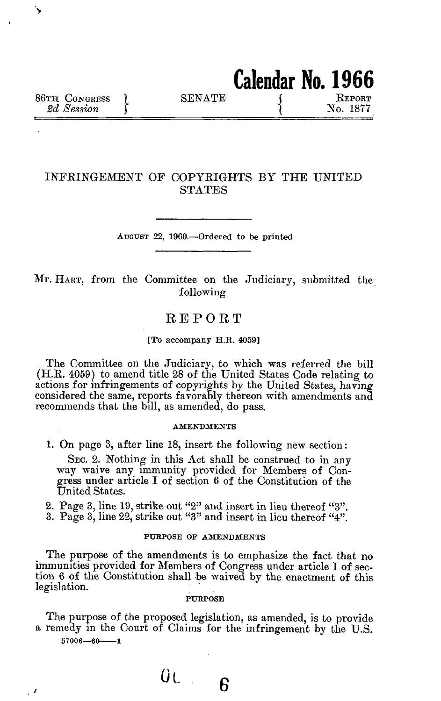**>** 

 $\cdot$ 

# INFRINGEMENT OF COPYRIGHTS BY THE UNITED STATES

AUGUST 22, 1960.—Ordered to be printed

Mr. HART, from the Committee on the Judiciary, submitted the following

# REPORT

## [To accompany H.R. 4059]

The Committee on the Judiciary, to which was referred the bill (H.R. 4059) to amend title 28 of the United States Code relating to actions for infringements of copyrights by the United States, having considered the same, reports favorably thereon with amendments and recommends that the bill, as amended, do pass.

#### **AMENDMENTS**

1. On page 3, after line 18, insert the following new section:

SEC. 2. Nothing in this Act shall be construed to in any way waive any immunity provided for Members of Congress under article I of section 6 of the Constitution of the United States.

2. Page 3, line 19, strike out "2" and insert in lieu thereof "3".

3. Page 3, line 22, strike out "3" and insert in lieu thereof "4".

# PURPOSE OF AMENDMENTS

The purpose of the amendments is to emphasize the fact that no immunities provided for Members of Congress under article I of section 6 of the Constitution shall be waived by the enactment of this legislation.

## **PUKPOSE**

The purpose of the proposed legislation, as amended, is to provide a remedy in the Court of Claims for the infringement by the U.S. **57006—60 1**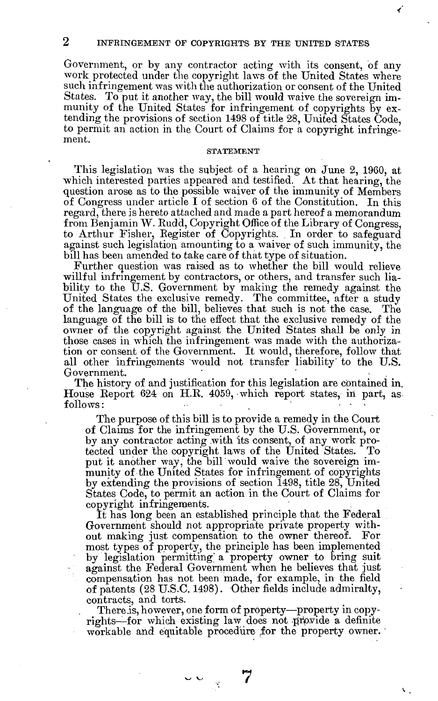Government, or by any contractor acting with its consent, of any work protected under the copyright laws of the United States where such infringement was with the authorization or consent of the United States. To put it another way, the bill would waive the sovereign immunity of the United States for infringement of copyrights by extending the provisions of section 1498 of title 28, United States Code, to permit an action in the Court of Claims for a copyright infringement.

### **STATEMENT**

This legislation was the subject of a hearing on June 2, 1960, at which interested parties appeared and testified. At that hearing, the question arose as to the possible waiver of the immunity of Members of Congress under article I of section 6 of the Constitution. In this regard, there is hereto attached and made a part hereof a memorandum from Benjamin W. Eudd, Copyright Office of the Library of Congress, to Arthur Fisher, Eegister of Copyrights. In order to safeguard against such legislation amounting to a waiver of such immunity, the bill has been amended to take care of that type of situation.

Further question was raised as to whether the bill would relieve willful infringement by contractors, or others, and transfer such liability to the U.S. Government by making the remedy against the United States the exclusive remedy. The committee, after a study of the language of the bill, believes that such is not the case. The language of the bill is to the effect that the exclusive remedy of the owner of the copyright against the United States shall be only in those cases in which the infringement was made with the authorization or consent of the Government. It would, therefore, follow that all other infringements would not transfer liability' to the U.S. Government.

The history of and justification for this legislation are contained in. House Eeport 624 on H.K. 4059, which report states, in part, as  $\text{follows:}$  .  $\blacksquare$  ,  $\blacksquare$  ,  $\blacksquare$  ,  $\blacksquare$  ,  $\blacksquare$  ,  $\blacksquare$  ,  $\blacksquare$  ,  $\blacksquare$  ,  $\blacksquare$  ,  $\blacksquare$  ,  $\blacksquare$  ,  $\blacksquare$  ,  $\blacksquare$  ,  $\blacksquare$  ,  $\blacksquare$  ,  $\blacksquare$  ,  $\blacksquare$  ,  $\blacksquare$  ,  $\blacksquare$  ,  $\blacksquare$  ,  $\blacksquare$  ,  $\blacksquare$  ,  $\blacksquare$  ,  $\$ 

The purpose of this bill is to provide a remedy in the Court of Claims for the infringement by the U.S. Government, or by any contractor acting with its consent, of any work protected under the copyright laws of the United States. To put it another way, the bill would waive the sovereign immunity of the United States for infringement of copyrights by extending the provisions of section 1498, title 28, United States Code, to permit an action in the Court of Claims for copyright infringements.

It has long been an established principle that the Federal Government should not appropriate private property without making just compensation to the owner thereof. For most types of property, the principle has been implemented by legislation permitting a property owner to bring suit against the Federal Government when he believes that just compensation has not been made, for example, in the field of patents (28 U.S.C. 1498). Other fields include admiralty, contracts, and torts.

There is, however, one form of property—property in copyrights—for which existing law does not provide a definite workable and equitable procedure for the property owner.'

 $\sim$   $\sim$ 

**7**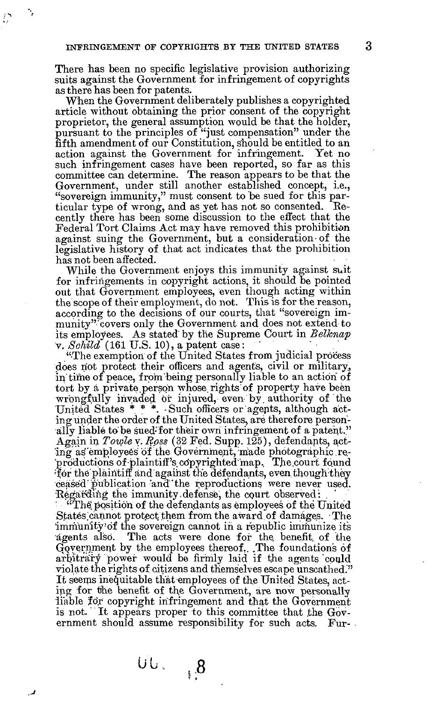There has been no specific legislative provision authorizing suits against the Government for infringement of copyrights as there has been for patents.

When the Government deliberately publishes a copyrighted article without obtaining the prior consent of the copyright proprietor, the general assumption would be that the holder, pursuant to the principles of "just compensation" under the fifth amendment of our Constitution, should be entitled to an action against the Government for infringement. such infringement cases have been reported, so far as this committee can determine. The reason appears to be that the Government, under still another established concept, i.e., "sovereign immunity," must consent to be sued for this particular type of wrong, and as yet has not so consented. Eecently there has been some discussion to the effect that the Federal Tort Claims Act may have removed this prohibition against suing the Government, but a consideration-of the legislative history of that act indicates that the prohibition has not been affected.

While the Government enjoys this immunity against suit for infringements in copyright actions, it should be pointed out that Government employees, even though acting within the scope of their employment, do not. This is for the reason, according to the decisions of our courts, that "sovereign immunity" covers only the Government and does not extend to its employees. As stated by the Supreme Court in *Belknap v. Schild* (161 U.S. 10), a patent case:

"The exemption of the United States from judicial process does not protect their officers and agents, civil or military, in time of peace, from being personally liable to an action of tort by a private person whose rights of property have been wrongfully invaded or injured, even by. authority of the United States \* \* \*. -Such officers or agents, although acting under the order of the United States, are therefore personally liable to be sued-'for their own infringement of a patent." Again in *Towle* v. *Boss* (32 Fed. Supp. 125), defendants, acting as'employees of the Government, made photographic.reproductions of plaintiff's copyrighted map. The court found •for the plaintiff and against the defendants, even though-they ceased'publication "and "the reproductions were never used. Regarding the immunity defense, the court observed:

: The position of the defendants as employees of the United States cannot protect them from the award of damages. The immunity'of the sovereign cannot in a republic immunize its agents also. The acts were done for the. benefit, of the Government by the employees thereof,. ,The foundations of arbitrary power would be firmly laid if the agents 'could violate the rights of citizens and themselves escape unscathed." It seems inequitable that employees of the United States, acting for the benefit of the Government, are now personally liable for copyright infringement and that the Government is not. It appears proper to this committee that the Government should assume responsibility for such acts. Fur-

**.8**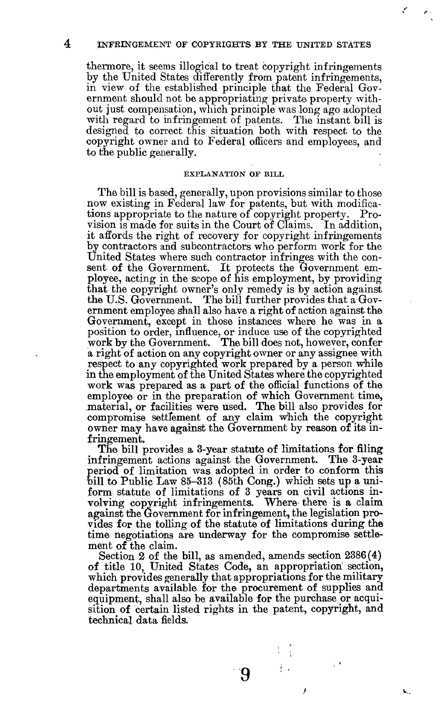4 INFRINGEMENT OF COPYRIGHTS BY THE UNITED STATES

thermore, it seems illogical to treat copyright infringements by the United States differently from patent infringements, in view of the established principle that the Federal Government should not be appropriating private property without just compensation, which principle was long ago adopted with regard to infringement of patents. The instant bill is designed to correct this situation both with respect to the copyright owner and to Federal officers and employees, and to the public generally.

#### EXPLANATION OF BILL

The bill is based, generally, upon provisions similar to those now existing in Federal law for patents, but with modifications appropriate to the nature of copyright property. Provision is made for suits in the Court of Claims. In addition, it affords the right of recovery for copyright infringements by contractors and subcontractors who perform work for the United States where such contractor infringes with the consent of the Government. It protects the Government employee, acting in the scope of his employment, by providing that the copyright owner's only remedy is by action against the U.S. Government. The bill further provides that a Government employee shall also have a right of action against the Government, except in those instances where he was in a position to order, influence, or induce use of the copyrighted work by the Government. The bill does not, however, confer a right of action on any copyright owner or any assignee with respect to any copyrighted work prepared by a person while in the employment of the United States where the copyrighted work was prepared as a part of the official functions of the employee or in the preparation of which Government time, material, or facilities were used. The bill also provides for compromise settlement of any claim which the copyright owner may have against the Government by reason of its infringement.

The bill provides a 3-year statute of limitations for filing infringement actions against the Government. period of limitation was adopted in order to conform this bill to Public Law 85-313 (85th Cong.) which sets up a uniform statute of limitations of 3 years on civil actions involving copyright infringements. Where there is a claim against the Government for infringement, the legislation provides for the tolling of the statute of limitations during the time negotiations are underway for the compromise settlement of the claim.

Section 2 of the bill, as amended, amends section 2386(4) of title 10, United States Code, an appropriation' section, which provides generally that appropriations for the military departments available for the procurement of supplies and equipment, shall also be available for the purchase or acquisition of certain listed rights in the patent, copyright, and technical data fields.

**9** 

计类似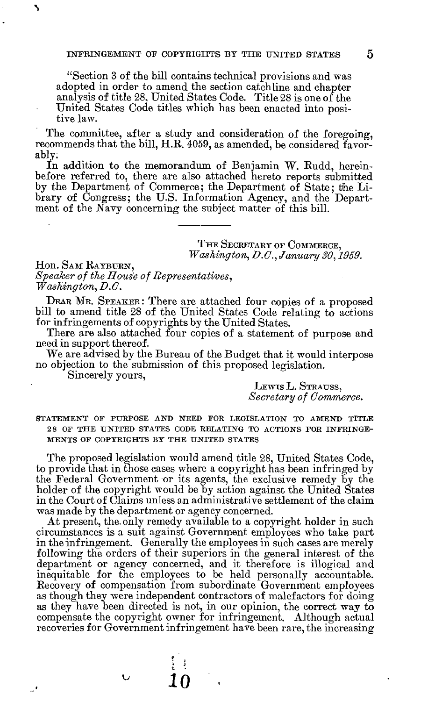"Section 3 of the bill contains technical provisions and was adopted in order to amend the section catchline and chapter analysis of title 28, United States Code. Title 28 is one of the United States Code titles which has been enacted into positive law.

The committee, after a study and consideration of the foregoing, recommends that the bill, H.R. 4059, as amended, be considered favorably.

In addition to the memorandum of Benjamin W. Rudd, hereinbefore referred to, there are also attached hereto reports submitted by the Department of Commerce; the Department of State; the Library of Congress; the U.S. Information Agency, and the Department of the Navy concerning the subject matter of this bill.

> THE SECRETARY OF COMMERCE, *Washington, D.O., January 30,1959.*

Hon. SAM RAYBURN, *Speaker of the House of Representatives, Washington, B.C.* 

DEAR MR. SPEAKER : There are attached four copies of a proposed bill to amend title 28 of the United States Code relating to actions for infringements of copyrights by the United States.

There are also attached four copies of a statement of purpose and need in support thereof.

We are advised by the Bureau of the Budget that it would interpose no objection to the submission of this proposed legislation.

Sincerely yours,

**%** 

LEWTS L. STRAUSS, *Secretary of Commerce.* 

STATEMENT OF PURPOSE AND NEED FOR LEGISLATION TO AMEND TITLE 2 8 OF THE UNITED STATES CODE RELATING TO ACTIONS FOR INFRINGE-MENTS OF COPYRIGHTS BY THE UNITED STATES

The proposed legislation would amend title 28, United States Code, to provide that in those cases where a copyright has been infringed by the Federal Government or its agents, the exclusive remedy by the holder of the copyright would be by action against the United States in the Court of Claims unless an administrative settlement of the claim was made by the department or agency concerned.

At present, the. only remedy available to a copyright holder in such circumstances is a suit against Government employees who take part in the infringement. Generally the employees in such cases are merely following the orders of their superiors in the general interest of the department or agency concerned, and it therefore is illogical and inequitable for the employees to be held personally accountable. Recovery of compensation from subordinate Government employees as though they were independent contractors of malefactors for doing as they have been directed is not, in our opinion, the correct way to compensate the copyright owner for infringement. Although actual recoveries for Government infringement have been rare, the increasing

**10** 

Ü

ا پ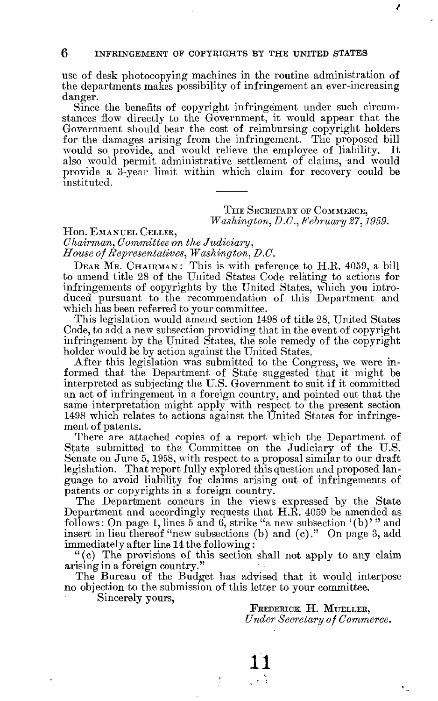6 INFRINGEMENT OF COPYRIGHTS BY THE UNITED STATES

use of desk photocopying machines in the routine administration of the departments makes possibility of infringement an ever-increasing danger.

Since the benefits of copyright infringement under such circumstances flow directly to the Government, it would appear that the Government should bear the cost of reimbursing copyright holders for the damages arising from the infringement. The proposed bill would so provide, and would relieve the employee of liability. It also would permit administrative settlement of claims, and would provide a 3-year limit within which claim for recovery could be instituted.

> THE SECRETARY OF COMMERCE, *Washington, D.G., February 27,1959.*

*/* 

Hon. EMANUEL CELLER, *Chairman, Committee \on the Judiciary, House of Representatives, Washington, B.C.* 

DEAR MR. CHAIRMAN: This is with reference to H.R. 4059, a bill to amend title 28 of the United States Code relating to actions for infringements of copyrights by the United States, which you introduced pursuant to the recommendation of this Department and which has been referred to your committee.

This legislation would amend section 1498 of title 28, United States Code, to add a new subsection providing that in the event of copyright infringement by the United States, the sole remedy of the copyright holder would be by action against the United States.

After this legislation was submitted to the Congress, we were informed that the Department of State suggested that it might be interpreted as subjecting the U.S. Government to suit if it committed an act of infringement in a foreign country, and pointed out that the same interpretation might apply with respect to the present section 1498 which relates to actions against the United States for infringement of patents.

There are attached copies of a report which the Department of State submitted to the Committee on the Judiciary of the U.S. Senate on June 5, 1958, with respect to a proposal similar to our draft legislation. That report fully explored this question and proposed language to avoid liability for claims arising out of infringements of patents or copyrights in a foreign country.

The Department concurs in the views expressed by the State Department and accordingly requests that H.R. 4059 be amended as follows: On page 1, lines 5 and 6, strike "a new subsection '(b)' " and insert in lieu thereof "new subsections (b) and (c)." On page 3, add immediately after line 14 the following:

"(c) The provisions of this section shall not apply to any claim arising in a foreign country."

The Bureau of the Budget has advised that it would interpose no objection to the submission of this letter to your committee.

> **11** ર રહે

Sincerely yours,

FREDERICK H. MUELLER, *Under Secretary of Commerce.*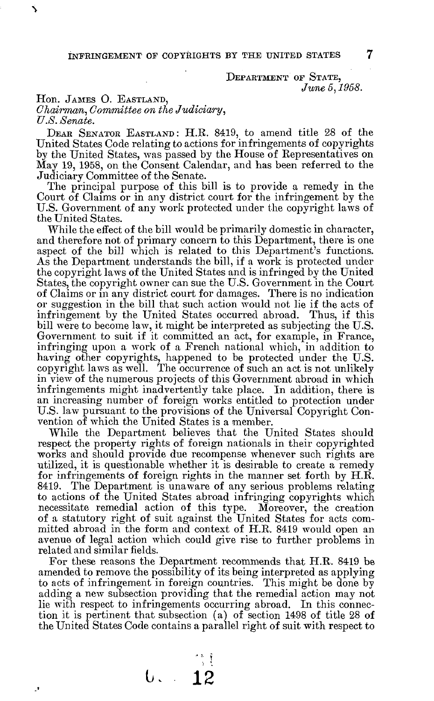DEPARTMENT OF STATE, *June 5,1958.* 

Hon. JAMES O. EASTLAND,

**\** 

þ

*Chairman, Committee on the Judiciary, U.S. /Senate.* 

DEAR SENATOR EASTLAND: H.R. 8419, to amend title 28 of the United States Code relating to actions for infringements of copyrights by the United States, was passed by the House of Representatives on May 19, 1958, on the Consent Calendar, and has been referred to the Judiciary Committee of the Senate.

The principal purpose of this bill is to provide a remedy in the Court of Claims or in any district court for the infringement by the U.S. Government of any work protected under the copyright laws of the United States.

While the effect of the bill would be primarily domestic in character, and therefore not of primary concern to this Department, there is one aspect of the bill which is related to this Department's functions. As the Department understands the bill, if a work is protected under the copyright laws of the United States and is infringed by the United States, the copyright owner can sue the U.S. Government in the Court of Claims or in any district court for damages. There is no indication or suggestion in the bill that such action would not lie if the acts of infringement by the United States occurred abroad. Thus, if this bill were to become law, it might be interpreted as subjecting the U.S. Government to suit if it committed an act, for example, in France, infringing upon a work of a French national which, in addition to having other copyrights, happened to be protected under the U.S. copyright laws as well. The occurrence of such an act is not unlikely in view of the numerous projects of this Government abroad in which infringements might inadvertently take place. In addition, there is an increasing number of foreign works entitled to protection under U.S. law pursuant to the provisions of the Universal Copyright Convention of which the United States is a member.

While the Department believes that the United States should respect the property rights of foreign nationals in their copyrighted works and should provide due recompense whenever such rights are utilized, it is questionable whether it is desirable to create a remedy for infringements of foreign rights in the manner set forth by H.R. 8419. The Department is unaware of any serious problems relating to actions of the United States abroad infringing copyrights which necessitate remedial action of this type. Moreover, the creation of a statutory right of suit against the United States for acts committed abroad in the form and context of H.R. 8419 would open an avenue of legal action which could give rise to further problems in related and similar fields.

For these reasons the Department recommends that H.R. 8419 be amended to remove the possibility of its being interpreted as applying to acts of infringement in foreign countries. This might be done by adding a new subsection providing that the remedial action may not lie with respect to infringements occurring abroad. In this connection it is pertinent that subsection (a) of section 1498 of title 28 of the United States Code contains a parallel right of suit with respect to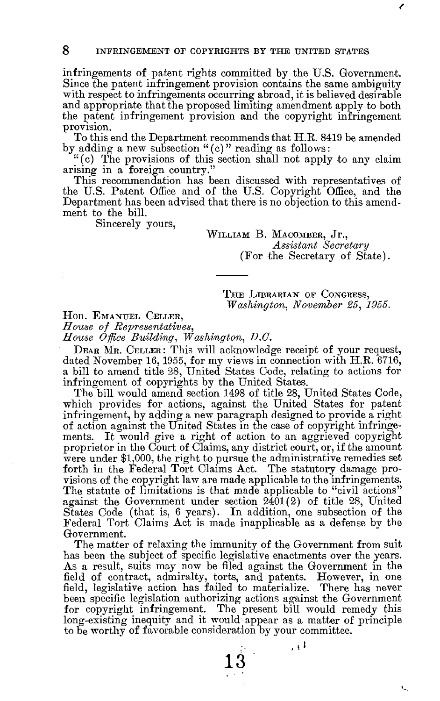infringements of patent rights committed by the U.S. Government. Since the patent infringement provision contains the same ambiguity with respect to infringements occurring abroad, it is believed desirable and appropriate that the proposed limiting amendment apply to both the patent infringement provision and the copyright infringement provision.

To this end the Department recommends that H.R. 8419 be amended by adding a new subsection "(c) " reading as follows:

"(c) The provisions of this section shall not apply to any claim arising in a foreign country."

This recommendation has been discussed with representatives of the U.S. Patent Office and of the U.S. Copyright Office, and the Department has been advised that there is no objection to this amendment to the bill.

Sincerely yours,

WILLIAM B. MACOMBER, Jr., *Assistant Secretary*  (For the Secretary of State).

THE LIBRARIAN OF CONGRESS, *Washington, November 25, 1955.* 

Hon. EMANUEL CELLER,

*House of Representatives,* 

*House Office Building, Washington, D.O.* 

DEAR MR. CELLER : This will acknowledge receipt of your request, dated November 16,1955, for my views in connection with H.R. 6716, a bill to amend title 28, United States Code, relating to actions for infringement of copyrights by the United States.

The bill would amend section 1498 of title 28, United States Code, which provides for actions, against the United States for patent infringement, by adding a new paragraph designed to provide a right of action against the United States in the case of copyright infringements. It would give a right of action to an aggrieved copyright proprietor in the Court of Claims, any district court, or, if the amount were under \$1,000, the right to pursue the administrative remedies set forth in the Federal Tort Claims Act. The statutory damage provisions of the copyright law are made applicable to the infringements. The statute of limitations is that made applicable to "civil actions" against the Government under section  $2401(2)$  of title 28, United States Code (that is, 6 years). In addition, one subsection of the Federal Tort Claims Act is made inapplicable as a defense by the Government.

The matter of relaxing the immunity of the Government from suit has been the subject of specific legislative enactments over the years. As a result, suits may now be filed against the Government in the field of contract, admiralty, torts, and patents. However, in one field, legislative action has failed to materialize. There has never been specific legislation authorizing actions against the Government for copyright infringement. The present bill would remedy this long-existing inequity and it would appear as a matter of principle to be worthy of favorable consideration by your committee.

**13** 

ا ر

٠.,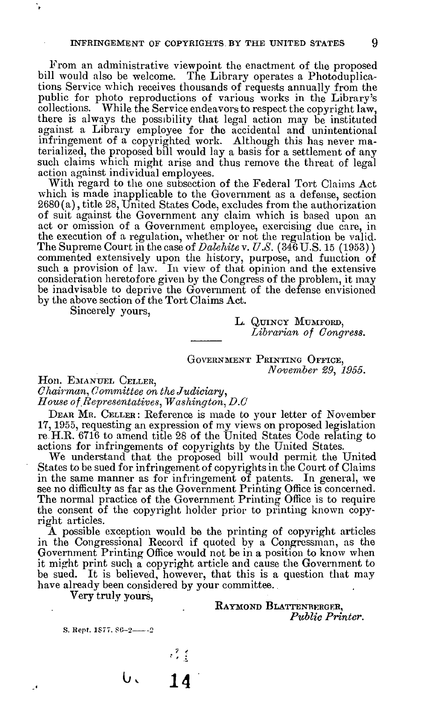From an administrative viewpoint the enactment of the proposed bill would also be welcome. The Library operates a Photoduplications Service which receives thousands of requests annually from the public for photo reproductions of various works in the Library's collections. While the Service endeavors to respect the copyright law, there is always the possibility that legal action may be instituted against a Library employee for the accidental and unintentional infringement of a copyrighted work. Although this has never materialized, the proposed bill would lay a basis for a settlement of any such claims which might arise and thus remove the threat of legal action against individual employees.

With regard to the one subsection of the Federal Tort Claims Act which is made inapplicable to the Government as a defense, section 2680(a), title 28, United States Code, excludes from the authorization of suit against the Government any claim which is based upon an act or omission of a Government employee, exercising due care, in the execution of a regulation, whether or not the regulation be valid. The Supreme Court in the case of *Dalehite* v. *U.S.* (346 U.S. 15 (1953)) commented extensively upon the history, purpose, and function or such a provision of law. In view of that opinion and the extensive consideration heretofore given by the Congress of the problem, it may be inadvisable to deprive the Government of the defense envisioned by the above section of the Tort Claims Act.

Sincerely yours,

L. QUINCY MUMFORD, *Librarian of Congress.* 

GOVERNMENT PRINTING OFFICE, *November 29, 1955.* 

Hon. EMANUEL CELLER,

*Chairman, Committee on the Judiciary, House of Representatives, Washington, D.C* 

DEAR MR. CELLER : Reference is made to your letter of November 17,1955, requesting an expression of my views on proposed legislation re H.R. 6716 to amend title 28 of the United States Code relating to actions for infringements of copyrights by the United States.

We understand that the proposed bill would permit the United States to be sued for infringement of copyrights in the Court of Claims in the same manner as for infringement of patents. In general, we see no difficulty as far as the Government Printing Office is concerned. The normal practice of the Government Printing Office is to require the consent of the copyright holder prior to printing known copyright articles.

A possible exception would be the printing of copyright articles in the Congressional Record if quoted by a Congressman, as the Government Printing Office would not be in a position to know when it might print such a copyright article and cause the Government to be sued. It is believed, however, that this is a question that may have already been considered by your committee.

Very truly yours,

RAYMOND BLATTENBERGER, *Public Printer.* 

S. Rept. 1877. 86-2-2-2

 $\cdot$ 

**o, 14**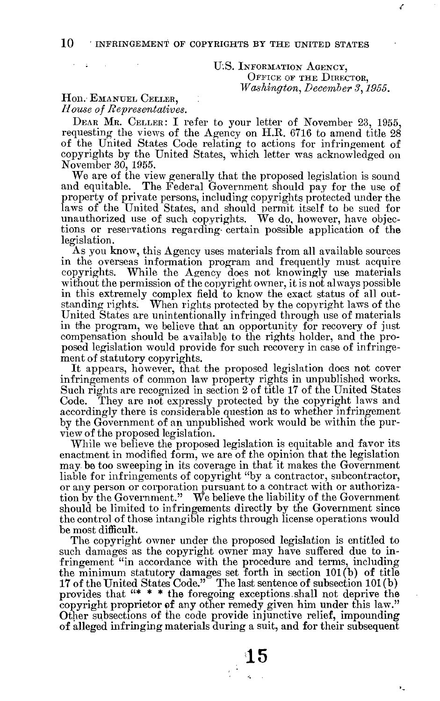# U.S. INFORMATION AGENCY, OFFICE OF THE DIRECTOR, *Washington, December 3,1955.*

**/** 

 $\ddot{\phantom{a}}$ 

# Hon. EMANUEL CELLER, *House of Representatives.*

;

DEAR MR. CELLER: I refer to your letter of November 23, 1955, requesting the views of the Agency on H.R. 6716 to amend title 28 of the United States Code relating to actions for infringement of copyrights by the United States, which letter was acknowledged on November 30, 1955.

We are of the view generally that the proposed legislation is sound and equitable. The Federal Government should pay for the use of property of private persons, including copyrights protected under the laws of the United States, and should permit itself to be sued for unauthorized use of such copyrights. We do, however, have objections or reservations regarding- certain possible application of the legislation.

As you know, this Agency uses materials from all available sources in the overseas information program and frequently must acquire copyrights. While the Agency does not knowingly use materials without the permission of the copyright owner, it is not always possible in this extremely complex field to know the exact status of all outstanding rights. When rights protected by the copyright laws of the United States are unintentionally infringed through use of materials in the program, we believe that an opportunity for recovery of just compensation should be available to the rights holder, and the proposed legislation would provide for such recovery in case of infringement of statutory copyrights.

It appears, however, that the proposed legislation does not cover infringements of common law property rights in unpublished works. Such rights are recognized in section 2 of title 17 of the United States Code. They are not expressly protected by the copyright laws and accordingly there is considerable question as to whether infringement by the Government of an unpublished work would be within the purview of the proposed legislation.

While we believe the proposed legislation is equitable and favor its enactment in modified form, we are of the opinion that the legislation may be too sweeping in its coverage in that it makes the Government liable for infringements of copyright "by a contractor, subcontractor, or any person or corporation pursuant to a contract with or authorization by the Government." We believe the liability of the Government should be limited to infringements directly by the Government since the control of those intangible rights through license operations would be most difficult.

The copyright owner under the proposed legislation is entitled to such damages as the copyright owner may have suffered due to infringement "in accordance with the procedure and terms, including the minimum statutory damages set forth in section 101(b) of title 17 of the United States Code." The last sentence of subsection 101 (b) provides that "\* \* \* the foregoing exceptions.shall not deprive the copyright proprietor of any other remedy given him under this law." Other subsections of the code provide injunctive relief, impounding of alleged infringing materials during a suit, and for their subsequent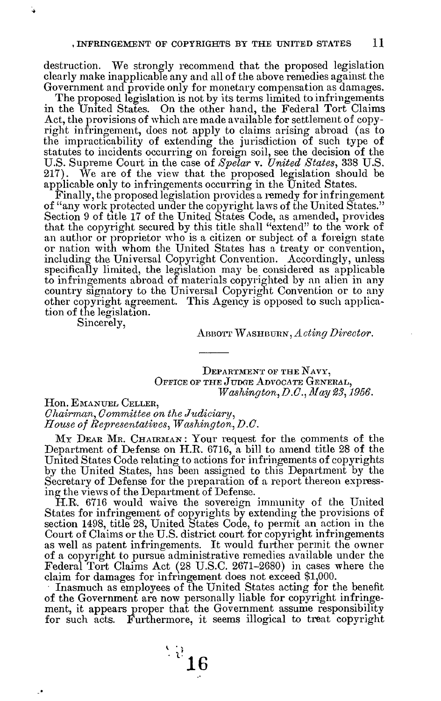destruction. We strongly recommend that the proposed legislation clearly make inapplicable any and all of the above remedies against the Government and provide only for monetary compensation as damages.

The proposed legislation is not by its terms limited to infringements in the United States. On the other hand, the Federal Tort Claims Act, the provisions of which are made available for settlement of copyright infringement, does not apply to claims arising abroad (as to the impracticability of extending the jurisdiction of such type of statutes to incidents occurring on foreign soil, see the decision of the U.S. Supreme Court in the case of *Spelar* v. *United States,* 338 U.S. 217). We are of the view that the proposed legislation should be applicable only to infringements occurring in the United States.

Finally, the proposed legislation provides a remedy for infringement of "any work protected under the copyright laws of the United States." Section 9 of title 17 of the United States Code, as amended, provides that the copyright secured by this title shall "extend" to the work of an author or proprietor who is a citizen or subject of a foreign state or nation with whom the United States has a treaty or convention, including the Universal Copyright Convention. Accordingly, unless specifically limited, the legislation may be considered as applicable to infringements abroad of materials copyrighted by an alien in any country signatory to the Universal Copyright Convention or to any other copyright agreement. This Agency is opposed to such application of the legislation.

Sincerely,

**•** 

**-t** 

ABBOTT WASHBURN, *Acting Director.* 

DEPARTMENT OF THE NAVY, OFFICE OF THE JUDGE ADVOCATE GENERAL, *Washington, B.C., May 23,1956.* 

Hon. EMANUEL CELLER, *Chairman, Committee on the Judiciary, House of Representatives, Washington, D.C.* 

My Dear Mr. Chairman: Your request for the comments of the Department of Defense on H.R. 6716, a bill to amend title 28 of the United States Code relating to actions for infringements of copyrights by the United States, has been assigned to this Department by the Secretary of Defense for the preparation of a report thereon expressing the views of the Department of Defense.

H.R. 6716 would waive the sovereign immunity of the United States for infringement of copyrights by extending the provisions of section 1498, title 28, United States Code, to permit an action in the Court of Claims or the U.S. district court for copyright infringements as well as patent infringements. It would further permit the owner of a copyright to pursue administrative remedies available under the Federal Tort Claims Act (28 U.S.C. 2671-2680) in cases where the claim for damages for infringement does not exceed \$1,000.

Inasmuch as employees of the United States acting for the benefit of the Government are now personally liable for copyright infringement, it appears proper that the Government assume responsibility for such acts. Furthermore, it seems illogical to treat copyright

 $^{12}16$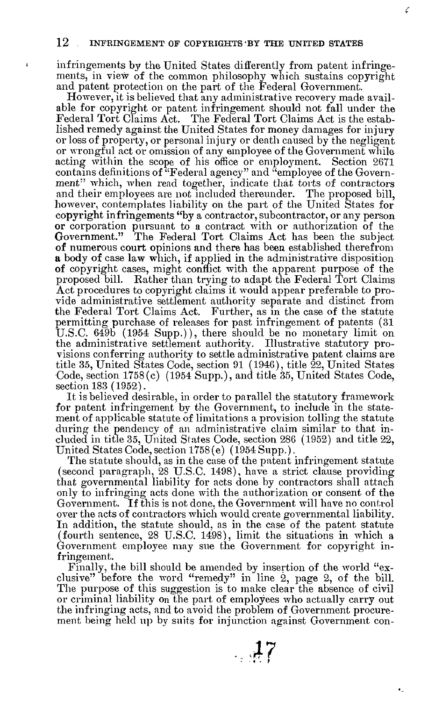$\mathbf{1}$ 

infringements by the United States differently from patent infringements, in view of the common philosophy which sustains copyright and patent protection on the part of the Federal Government.

Ć

However, it is believed that any administrative recovery made available for copyright or patent infringement should not fall under the Federal Tort Claims Act. The Federal Tort Claims Act is the established remedy against the United States for money damages for injury or loss of property, or personal injury or death caused by the negligent or wrongful act or omission of any employee of the Government while acting within the scope of his office or employment. Section 2671 contains definitions of "Federal agency" and "employee of the Government" which, when read together, indicate that torts of contractors and their employees are not included thereunder. The proposed bill, however, contemplates liability on the part of the United States for copyright infringements "by a contractor, subcontractor, or any person or corporation pursuant to a contract with or authorization of the Government." The Federal Tort Claims Act has been the subject of numerous court opinions and there has been established therefrom a body of case law which, if applied in the administrative disposition of copyright cases, might conflict with the apparent purpose of the proposed bill. Rather than trying to adapt the Federal Tort Claims Act procedures to copyright claims it would appear preferable to provide administrative settlement authority separate and distinct from the Federal Tort Claims Act. Further, as in the case of the statute permitting purchase of releases for past infringement of patents (31 U.S.C. 649b (1954 Supp.)), there should be no monetary limit on the administrative settlement authority. Illustrative statutory provisions conferring authority to settle administrative patent claims are title 35, United States Code, section 91 (1946), title 22, United States Code, section 1758(c) (1954 Supp.), and title 35, United States Code, section 183 (1952).

It is believed desirable, in order to parallel the statutory framework for patent infringement by the Government, to include in the statement of applicable statute of limitations a provision tolling the statute during the pendency of an administrative claim similar to that included in title 35, United States Code, section 286 (1952) and title 22, United States Code, section 1758(e) (1954 Supp.).

The statute should, as in the case of the patent infringement statute (second paragraph, 28 U.S.C. 1498), have a strict clause providing that governmental liability for acts done by contractors shall attach only to infringing acts done with the authorization or consent of the Government. If this is not done, the Government will have no control over the acts of contractors which would create governmental liability. In addition, the statute should, as in the case of the patent statute (fourth sentence, 28 U.S.C. 1498), limit the situations in which a Government employee may sue the Government for copyright infringement.

Finally, the bill should be amended by insertion of the world "exclusive" before the word "remedy" in line 2, page 2, of the bill. The purpose of this suggestion is to make clear the absence of civil or criminal liability on the part of employees who actually carry out the infringing acts, and to avoid the problem of Government procurement being held up by suits for injunction against Government con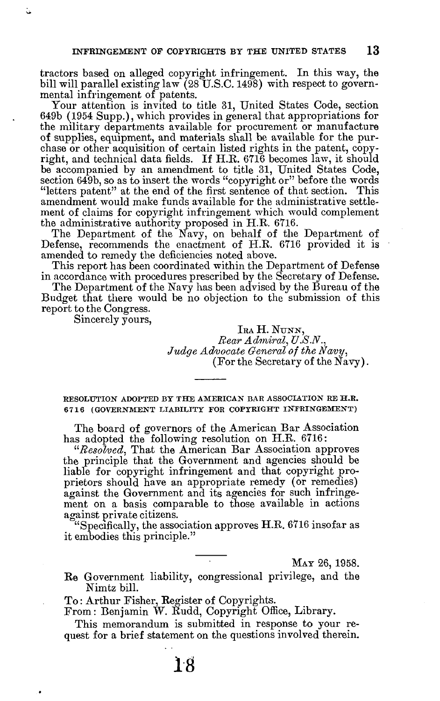tractors based on alleged copyright infringement. In this way, the bill will parallel existing law (28 U.S.C. 1498) with respect to governmental infringement of patents.

Your attention is invited to title 31, United States Code, section 649b (1954 Supp.), which provides in general that appropriations for the military departments available for procurement or manufacture of supplies, equipment, and materials shall be available for the purchase or other acquisition of certain listed rights in the patent, copyright, and technical data fields. If H.E. 6716 becomes law, it should be accompanied by an amendment to title 31, United States Code, section 649b, so as to insert the words "copyright or" before the words "letters patent" at the end of the first sentence of that section. This amendment would make funds available for the administrative settlement of claims for copyright infringement which would complement the administrative authority proposed in H.E. 6716.

The Department of the Navy, on behalf of the Department of Defense, recommends the enactment of H.E. 6716 provided it is amended to remedy the deficiencies noted above.

This report has been coordinated within the Department of Defense in accordance with procedures prescribed by the Secretary of Defense.

The Department of the Navy has been advised by the Bureau of the Budget that there would be no objection to the submission of this report to the Congress.

Sincerely yours,

IRA H. NUNN, *Bear Admiral, V.S.N., Judge Advocate General of the Navy,*  (For the Secretary of the Navy).

RESOLUTION ADOPTED BY THE AMERICAN BAR ASSOCIATION RE H.R. 671 6 (GOVERNMENT LIABILITY FOR COPYRIGHT INFRINGEMENT )

The board of governors of the American Bar Association has adopted the following resolution on H.E. 6716:

*"Resolved,* That the American Bar Association approves the principle that the Government and agencies should be liable for copyright infringement and that copyright proprietors should have an appropriate remedy (or remedies) against the Government and its agencies for such infringement on a basis comparable to those available in actions against private citizens.

"Specifically, the association approves  $H.R. 6716$  insofar as it embodies this principle."

MAY 26, 1958.

Ee Government liability, congressional privilege, and the Nimtz bill.

To: Arthur Fisher, Register of Copyrights.

From: Benjamin W. Eudd, Copyright Office, Library.

This memorandum is submitted in response to your request for a brief statement on the questions involved therein.

**18**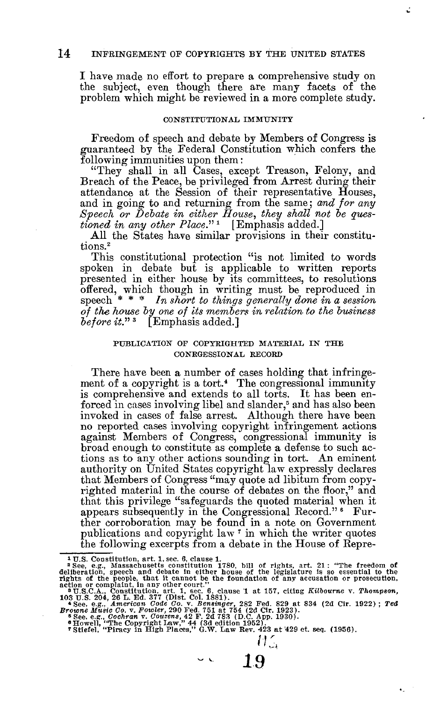I have made no effort to prepare a comprehensive study on the subject, even though there are many facets of the problem which might be reviewed in a more complete study.

# CONSTITUTIONAL IMMUNITY

Freedom of speech and debate by Members of Congress is guaranteed by the Federal Constitution which confers the following immunities upon them:

"They shall in all Cases, except Treason, Felony, and Breach of the Peace, be privileged from Arrest during their attendance at the Session of their representative Houses, and in going to and returning from the same; *and for any Speech or Debate in either House, they shall not be questioned in any other Place.*"<sup>1</sup> [Emphasis added.]

All the States have similar provisions in their constitutions.<sup>2</sup>

This constitutional protection "is not limited to words spoken in debate but is applicable to written reports presented in either house by its committees, to resolutions offered, which though in writing must be reproduced in speech \* \* \* *In short to things generally done in a session of the house by one of its members in relation, to the business*  before it."<sup>3</sup> [Emphasis added.]

## PUBLICATION OF COPYRIGHTED MATERIAL IN THE CONEGESSIONAL RECORD

There have been a number of cases holding that infringement of a copyright is a tort.<sup>4</sup> The congressional immunity is comprehensive and extends to all torts. It has been enforced in cases involving libel and slander,<sup>5</sup> and has also been invoked in cases of false arrest. Although there have been no reported cases involving copyright infringement actions against Members of Congress, congressional immunity is broad enough to constitute as complete a defense to such actions as to any other actions sounding in tort. An eminent authority on United States copyright law expressly declares that Members of Congress "may quote ad libitum from copyrighted material in the course of debates on the floor," and that this privilege "safeguards the quoted material when it appears subsequently in the Congressional Record."<sup>6</sup> Further corroboration may be found in a note on Government publications and copyright law  $\tau$  in which the writer quotes the following excerpts from a debate in the House of Repre-

<sup>&</sup>lt;sup>1</sup> U.S. Constitution, art. 1, sec. 6, clause 1.<br><sup>2</sup> See, e.g., Massachusetts constitution 1780, bill of rights, art. 21: "The freedom of<br>deliberation, speech and debate in either house of the legislature is so essential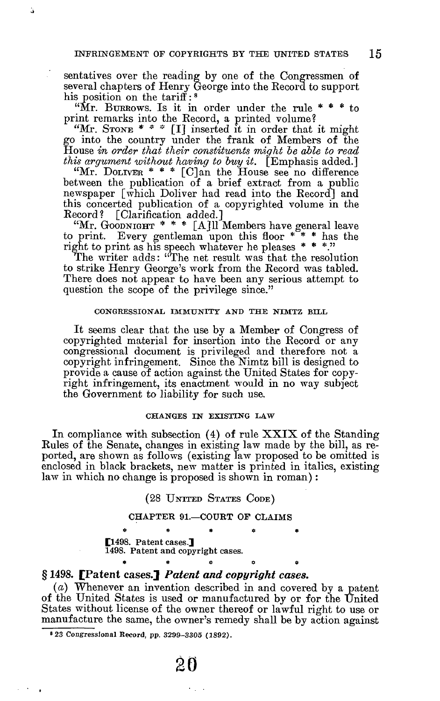ä,

sentatives over the reading by one of the Congressmen of several chapters of Henry George into the Record to support his position on the tariff:<sup>8</sup>

"Mr. BURROWS. Is it in order under the rule  $* * *$  to print remarks into the Record, a printed volume?

"Mr. STONE  $^*$   $^*$   $^*$  [I] inserted it in order that it might go into the country under the frank of Members of the House *in order that their constituents might be able to read this argument without having to buy it.* [Emphasis added.]

"Mr. DOLIVER \* \* \* [C]an the House see no difference between the publication of a brief extract from a public newspaper [which Doliver had read into the Record] and this concerted publication of a copyrighted volume in the Record? [Clarification added.]

"Mr. GOODNIGHT \* \* \* [A] 11 Members have general leave to print. Every gentleman upon this floor \* \* \* has the Every gentleman upon this floor  $** *$  has the right to print as his speech whatever he pleases \* \* \*."

The writer adds: "The net result was that the resolution to strike Henry George's work from the Record was tabled. There does not appear to have been any serious attempt to question the scope of the privilege since."

#### CONGRESSIONAL IMMUNITY AND THE NIMTZ BILL

It seems clear that the use by a Member of Congress of copyrighted material for insertion into the Record or any congressional document is privileged and therefore not a copyright infringement. Since the Nimtz bill is designed to provide a cause of action against the United States for copyright infringement, its enactment would in no way subject the Government to liability for such use.

### CHANGES IN EXISTING LAW

In compliance with subsection  $(4)$  of rule XXIX of the Standing Rules of the Senate, changes in existing law made by the bill, as reported, are shown as follows (existing law proposed to be omitted is enclosed in black brackets, new matter is printed in italics, existing law in which no change is proposed is shown in roman) :

## (28 UNITED STATES CODE)

#### CHAPTER 91.—COURT OF CLAIMS

 $\ddot{\phi}$   $\ddot{\phi}$   $\ddot{\phi}$   $\ddot{\phi}$   $\ddot{\phi}$   $\ddot{\phi}$ [1498. Patent cases.] 1498. Patent and copyright cases.

# **§ 1498. [Patent cases.]** *Patent and copyright cases.*

*(a)* Whenever an invention described in and covered by a patent of the United States is used or manufactured by or for the United States without license of the owner thereof or lawful right to use or manufacture the same, the owner's remedy shall be by action against

\* \* e o \*

«23 Congressional Record, pp. 3299-3305 (1892).

20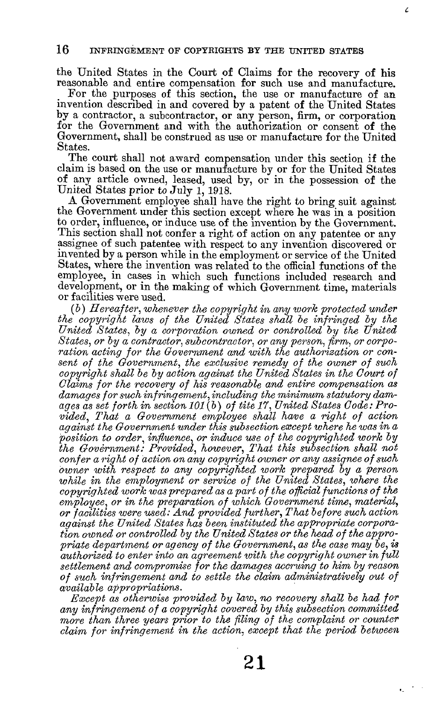the United States in the Court of Claims for the recovery of his reasonable and entire compensation for such use and manufacture.

Ź.

For the purposes of this section, the use or manufacture of an invention described in and covered by a patent of the United States by a contractor, a subcontractor, or any person, firm, or corporation for the Government and with the authorization or consent of the Government, shall be construed as use or manufacture for the United States.

The court shall not award compensation under this section if the claim is based on the use or manufacture by or for the United States of any article owned, leased, used by, or in the possession of the United States prior to July 1, 1918.

A Government employee shall have the right to bring suit against the Government under this section except where he was in a position to order, influence, or induce use of the invention by the Government. This section shall not confer a right of action on any patentee or any assignee of such patentee with respect to any invention discovered or invented by a person while in the employment or service of the United States, where the invention was related to the official functions of the employee, in cases in which such functions included research and development, or in the making of which Government time, materials or facilities were used.

*(b) Hereafter, whenever the copyright in any work protected under the copyright laws of the United States shall be infringed by the United States, by a corporation owned or controlled by the United States, or by a contractor, svhcontractor, or any person, firm, or corporation acting for the Government and with the authorization or consent of the Government, the exclusive remedy of the owner of such copyright shall be by action against the United States in the Court of Claims for the recovery of his reasonable and entire compensation as damages for such infringement, including the minimum statutory damages as set forth in section 101 (b) of tite 17, United States Code: Provided, That a Government employee shall have a right of action against the Government under this subsection except where he was in a position to order, influence, or induce use of the copyrighted work by the Government: Provided, however, That this subsection shall not confer a right of action on any copyright owner or any assignee of such owner with respect to any copyrighted work prepared by a person*  while in the employment or service of the United States, where the *copyrighted work was prepared as a part of the official functions of the employee, or in the preparation of which Government time, material, or facilities were used: And provided further, That before such action against the United States has been instituted the appropriate corporation owned or controlled by the United States or the head of the appropriate department or agency of the Government, as the case may be, is authorized to enter into an agreement xoith the copyright owner in full settlement and compromise for the damages accruing to him by reason of such infringement and to settle the claim administratively out of available appropriations.* 

*Except as otherwise provided by law, no recovery shall be had for any infringement of a copyright covered by this subsection committed more than three years prior to the filing of the complaint or counter claim for infringement in the action, except that the period between*